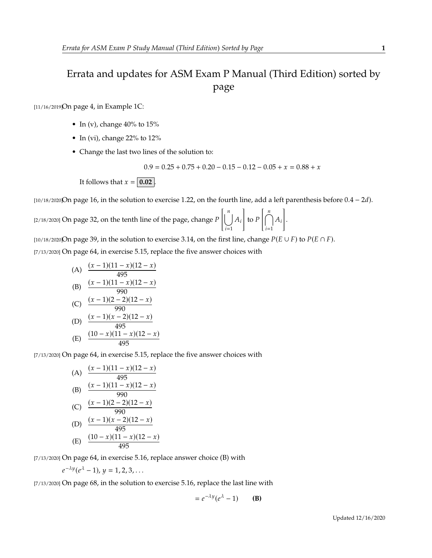## Errata and updates for ASM Exam P Manual (Third Edition) sorted by page

[11/16/2019]On page 4, in Example 1C:

- In (v), change  $40\%$  to  $15\%$
- In (vi), change 22% to 12%
- Change the last two lines of the solution to:

$$
0.9 = 0.25 + 0.75 + 0.20 - 0.15 - 0.12 - 0.05 + x = 0.88 + x
$$

It follows that  $x = 0.02$ .

[ $10/18/2020$ On page 16, in the solution to exercise 1.22, on the fourth line, add a left parenthesis before  $0.4 - 2d$ ).

 $[2/18/2020]$  On page 32, on the tenth line of the page, change  $P$  $\begin{bmatrix} n \\ \end{bmatrix}$  $\bigcup_{i=1}^{n}$ 1 to  $P$  $\left[\bigcap_{n=1}^{n}$  $i=1$ <sup>--i</sup> 1 .

[10/18/2020]On page 39, in the solution to exercise 3.14, on the first line, change  $P(E \cup F)$  to  $P(E \cap F)$ .

[7/13/2020] On page 64, in exercise 5.15, replace the five answer choices with

(A) 
$$
\frac{(x-1)(11-x)(12-x)}{495}
$$
\n(B) 
$$
\frac{(x-1)(11-x)(12-x)}{990}
$$
\n(C) 
$$
\frac{(x-1)(2-2)(12-x)}{990}
$$
\n(D) 
$$
\frac{(x-1)(x-2)(12-x)}{495}
$$
\n(E) 
$$
\frac{(10-x)(11-x)(12-x)}{495}
$$

[7/13/2020] On page 64, in exercise 5.15, replace the five answer choices with

(A) 
$$
\frac{(x-1)(11-x)(12-x)}{495}
$$
  
\n(B) 
$$
\frac{(x-1)(11-x)(12-x)}{990}
$$
  
\n(C) 
$$
\frac{(x-1)(2-2)(12-x)}{990}
$$
  
\n(D) 
$$
\frac{(x-1)(x-2)(12-x)}{495}
$$
  
\n(E) 
$$
\frac{(10-x)(11-x)(12-x)}{495}
$$

[7/13/2020] On page 64, in exercise 5.16, replace answer choice (B) with

$$
e^{-\lambda y}(e^{\lambda}-1), y=1,2,3,\ldots
$$

[7/13/2020] On page 68, in the solution to exercise 5.16, replace the last line with

$$
= e^{-\lambda y} (e^{\lambda} - 1)
$$
 (B)